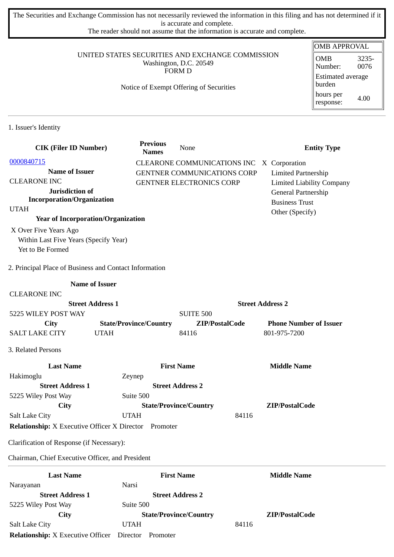The Securities and Exchange Commission has not necessarily reviewed the information in this filing and has not determined if it is accurate and complete.

The reader should not assume that the information is accurate and complete.

#### UNITED STATES SECURITIES AND EXCHANGE COMMISSION Washington, D.C. 20549 FORM D

## Notice of Exempt Offering of Securities

| <b>OMB APPROVAL</b>                |               |  |  |
|------------------------------------|---------------|--|--|
| OMB<br>Number:                     | 3235-<br>0076 |  |  |
| <b>Estimated average</b><br>burden |               |  |  |
| hours per<br>response:             | 4.00          |  |  |
|                                    |               |  |  |

1. Issuer's Identity

| <b>CIK (Filer ID Number)</b>                           | <b>Previous</b><br><b>Names</b> | None                                      |                         | <b>Entity Type</b>               |
|--------------------------------------------------------|---------------------------------|-------------------------------------------|-------------------------|----------------------------------|
| 0000840715                                             |                                 | CLEARONE COMMUNICATIONS INC X Corporation |                         |                                  |
| <b>Name of Issuer</b>                                  |                                 | <b>GENTNER COMMUNICATIONS CORP</b>        |                         | <b>Limited Partnership</b>       |
| <b>CLEARONE INC</b>                                    |                                 | <b>GENTNER ELECTRONICS CORP</b>           |                         | <b>Limited Liability Company</b> |
| Jurisdiction of                                        |                                 |                                           |                         | General Partnership              |
| <b>Incorporation/Organization</b>                      |                                 |                                           |                         | <b>Business Trust</b>            |
| <b>UTAH</b>                                            |                                 |                                           |                         | Other (Specify)                  |
| <b>Year of Incorporation/Organization</b>              |                                 |                                           |                         |                                  |
| X Over Five Years Ago                                  |                                 |                                           |                         |                                  |
| Within Last Five Years (Specify Year)                  |                                 |                                           |                         |                                  |
| Yet to Be Formed                                       |                                 |                                           |                         |                                  |
| 2. Principal Place of Business and Contact Information |                                 |                                           |                         |                                  |
| <b>Name of Issuer</b>                                  |                                 |                                           |                         |                                  |
| <b>CLEARONE INC</b>                                    |                                 |                                           |                         |                                  |
| <b>Street Address 1</b>                                |                                 |                                           | <b>Street Address 2</b> |                                  |
| 5225 WILEY POST WAY                                    |                                 | <b>SUITE 500</b>                          |                         |                                  |
| City                                                   | <b>State/Province/Country</b>   | ZIP/PostalCode                            |                         | <b>Phone Number of Issuer</b>    |
| <b>SALT LAKE CITY</b>                                  | <b>UTAH</b>                     | 84116                                     |                         | 801-975-7200                     |
| 3. Related Persons                                     |                                 |                                           |                         |                                  |
| <b>Last Name</b>                                       |                                 | <b>First Name</b>                         |                         | <b>Middle Name</b>               |
| Hakimoglu                                              | Zeynep                          |                                           |                         |                                  |
| <b>Street Address 1</b>                                |                                 | <b>Street Address 2</b>                   |                         |                                  |
| 5225 Wiley Post Way                                    | Suite 500                       |                                           |                         |                                  |
| City                                                   |                                 | <b>State/Province/Country</b>             |                         | ZIP/PostalCode                   |
| <b>Salt Lake City</b>                                  | <b>UTAH</b>                     |                                           | 84116                   |                                  |
| <b>Relationship:</b> X Executive Officer X Director    | Promoter                        |                                           |                         |                                  |
| Clarification of Response (if Necessary):              |                                 |                                           |                         |                                  |
| Chairman, Chief Executive Officer, and President       |                                 |                                           |                         |                                  |
| <b>Last Name</b>                                       |                                 | <b>First Name</b>                         |                         | <b>Middle Name</b>               |
| Narayanan                                              | Narsi                           |                                           |                         |                                  |
| <b>Street Address 1</b>                                |                                 | <b>Street Address 2</b>                   |                         |                                  |
| 5225 Wiley Post Way                                    | Suite 500                       |                                           |                         |                                  |
| City                                                   |                                 | <b>State/Province/Country</b>             |                         | ZIP/PostalCode                   |
| <b>Salt Lake City</b>                                  | <b>UTAH</b>                     |                                           | 84116                   |                                  |
| <b>Relationship:</b> X Executive Officer Director      | Promoter                        |                                           |                         |                                  |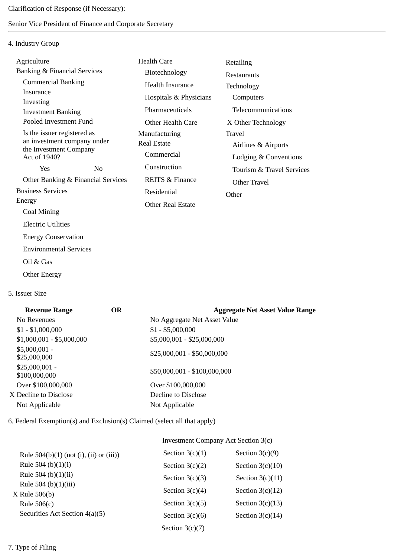Clarification of Response (if Necessary):

# Senior Vice President of Finance and Corporate Secretary

# 4. Industry Group

| Agriculture                                           | Health Care                | Retailing                 |
|-------------------------------------------------------|----------------------------|---------------------------|
| <b>Banking &amp; Financial Services</b>               | Biotechnology              | Restaurants               |
| <b>Commercial Banking</b>                             | <b>Health Insurance</b>    | Technology                |
| Insurance<br>Investing                                | Hospitals & Physicians     | Computers                 |
| <b>Investment Banking</b>                             | Pharmaceuticals            | Telecommunications        |
| Pooled Investment Fund                                | Other Health Care          | X Other Technology        |
| Is the issuer registered as                           | Manufacturing              | Travel                    |
| an investment company under<br>the Investment Company | Real Estate                | Airlines & Airports       |
| Act of 1940?                                          | Commercial                 | Lodging & Conventions     |
| N <sub>0</sub><br>Yes                                 | Construction               | Tourism & Travel Services |
| Other Banking & Financial Services                    | <b>REITS &amp; Finance</b> | Other Travel              |
| <b>Business Services</b>                              | Residential                | Other                     |
| Energy                                                | Other Real Estate          |                           |
| Coal Mining                                           |                            |                           |
| <b>Electric Utilities</b>                             |                            |                           |

5. Issuer Size

Oil & Gas

Other Energy

Energy Conservation

Environmental Services

| <b>Revenue Range</b>             | OR | <b>Aggregate Net Asset Value Range</b> |
|----------------------------------|----|----------------------------------------|
| No Revenues                      |    | No Aggregate Net Asset Value           |
| $$1 - $1,000,000$                |    | $$1 - $5,000,000$                      |
| $$1,000,001 - $5,000,000$        |    | \$5,000,001 - \$25,000,000             |
| $$5,000,001 -$<br>\$25,000,000   |    | $$25,000,001 - $50,000,000$            |
| $$25,000,001 -$<br>\$100,000,000 |    | \$50,000,001 - \$100,000,000           |
| Over \$100,000,000               |    | Over \$100,000,000                     |
| X Decline to Disclose            |    | Decline to Disclose                    |
| Not Applicable                   |    | Not Applicable                         |

6. Federal Exemption(s) and Exclusion(s) Claimed (select all that apply)

# Investment Company Act Section 3(c)

| Rule $504(b)(1)$ (not (i), (ii) or (iii)) | Section $3(c)(1)$ | Section $3(c)(9)$  |
|-------------------------------------------|-------------------|--------------------|
| Rule 504 (b) $(1)(i)$                     | Section $3(c)(2)$ | Section $3(c)(10)$ |
| Rule 504 (b) $(1)(ii)$                    | Section $3(c)(3)$ | Section $3(c)(11)$ |
| Rule 504 (b) $(1)(iii)$                   | Section $3(c)(4)$ | Section $3(c)(12)$ |
| $X$ Rule 506(b)<br>Rule $506(c)$          | Section $3(c)(5)$ | Section $3(c)(13)$ |
| Securities Act Section 4(a)(5)            | Section $3(c)(6)$ | Section $3(c)(14)$ |
|                                           | Section $3(c)(7)$ |                    |
|                                           |                   |                    |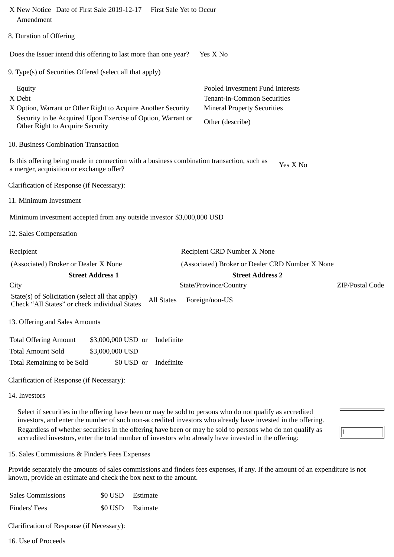| X New Notice Date of First Sale 2019-12-17 First Sale Yet to Occur<br>Amendment                                                                                                    |                                                                                                                           |
|------------------------------------------------------------------------------------------------------------------------------------------------------------------------------------|---------------------------------------------------------------------------------------------------------------------------|
| 8. Duration of Offering                                                                                                                                                            |                                                                                                                           |
| Does the Issuer intend this offering to last more than one year?                                                                                                                   | Yes X No                                                                                                                  |
| 9. Type(s) of Securities Offered (select all that apply)                                                                                                                           |                                                                                                                           |
| Equity<br>X Debt<br>X Option, Warrant or Other Right to Acquire Another Security<br>Security to be Acquired Upon Exercise of Option, Warrant or<br>Other Right to Acquire Security | Pooled Investment Fund Interests<br>Tenant-in-Common Securities<br><b>Mineral Property Securities</b><br>Other (describe) |
| 10. Business Combination Transaction                                                                                                                                               |                                                                                                                           |
| Is this offering being made in connection with a business combination transaction, such as<br>a merger, acquisition or exchange offer?                                             | Yes X No                                                                                                                  |
| Clarification of Response (if Necessary):                                                                                                                                          |                                                                                                                           |
| 11. Minimum Investment                                                                                                                                                             |                                                                                                                           |
| Minimum investment accepted from any outside investor \$3,000,000 USD                                                                                                              |                                                                                                                           |
| 12. Sales Compensation                                                                                                                                                             |                                                                                                                           |
| Recipient<br>(Associated) Broker or Dealer X None                                                                                                                                  | Recipient CRD Number X None<br>(Associated) Broker or Dealer CRD Number X None                                            |
| <b>Street Address 1</b><br>City                                                                                                                                                    | <b>Street Address 2</b><br>ZIP/Postal Code<br>State/Province/Country                                                      |
| State(s) of Solicitation (select all that apply)<br>Check "All States" or check individual States                                                                                  | All States Foreign/non-US                                                                                                 |
| 13. Offering and Sales Amounts                                                                                                                                                     |                                                                                                                           |
| <b>Total Offering Amount</b><br>\$3,000,000 USD or<br>Indefinite<br><b>Total Amount Sold</b><br>\$3,000,000 USD<br>\$0 USD or<br>Indefinite<br>Total Remaining to be Sold          |                                                                                                                           |
| Clarification of Response (if Necessary):                                                                                                                                          |                                                                                                                           |
| 14. Investors                                                                                                                                                                      |                                                                                                                           |
|                                                                                                                                                                                    |                                                                                                                           |

Select if securities in the offering have been or may be sold to persons who do not qualify as accredited investors, and enter the number of such non-accredited investors who already have invested in the offering. Regardless of whether securities in the offering have been or may be sold to persons who do not qualify as accredited investors, enter the total number of investors who already have invested in the offering:

 $\sqrt{1}$ 

15. Sales Commissions & Finder's Fees Expenses

Provide separately the amounts of sales commissions and finders fees expenses, if any. If the amount of an expenditure is not known, provide an estimate and check the box next to the amount.

| <b>Sales Commissions</b> | \$0 USD Estimate |
|--------------------------|------------------|
| Finders' Fees            | \$0 USD Estimate |

Clarification of Response (if Necessary):

16. Use of Proceeds